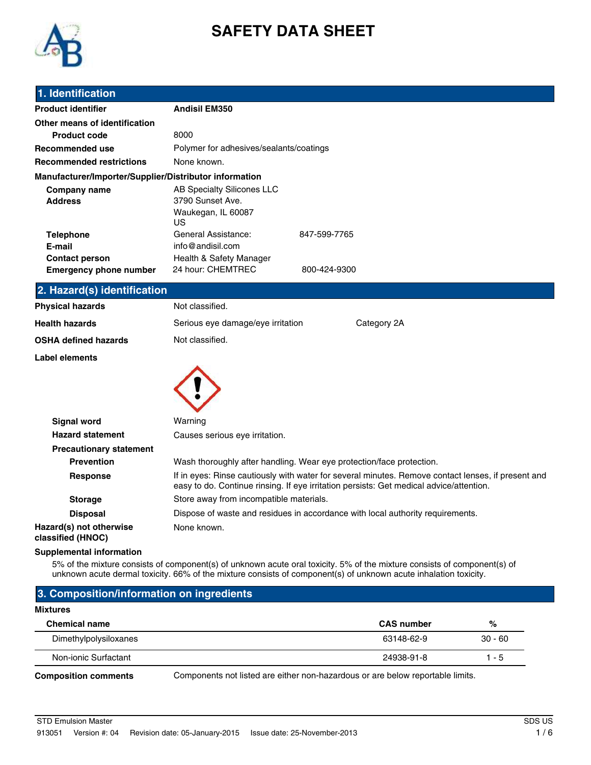

# **SAFETY DATA SHEET**

### **1. Identification**

| <b>Product identifier</b>                              | <b>Andisil EM350</b>                                                                                                                                                                          |  |
|--------------------------------------------------------|-----------------------------------------------------------------------------------------------------------------------------------------------------------------------------------------------|--|
| Other means of identification                          |                                                                                                                                                                                               |  |
| <b>Product code</b>                                    | 8000                                                                                                                                                                                          |  |
| <b>Recommended use</b>                                 | Polymer for adhesives/sealants/coatings                                                                                                                                                       |  |
| <b>Recommended restrictions</b>                        | None known.                                                                                                                                                                                   |  |
| Manufacturer/Importer/Supplier/Distributor information |                                                                                                                                                                                               |  |
| <b>Company name</b><br><b>Address</b>                  | AB Specialty Silicones LLC<br>3790 Sunset Ave.<br>Waukegan, IL 60087<br>US                                                                                                                    |  |
| <b>Telephone</b>                                       | General Assistance:<br>847-599-7765                                                                                                                                                           |  |
| E-mail                                                 | info@andisil.com                                                                                                                                                                              |  |
| <b>Contact person</b>                                  | Health & Safety Manager                                                                                                                                                                       |  |
| <b>Emergency phone number</b>                          | 24 hour: CHEMTREC<br>800-424-9300                                                                                                                                                             |  |
| 2. Hazard(s) identification                            |                                                                                                                                                                                               |  |
| <b>Physical hazards</b>                                | Not classified.                                                                                                                                                                               |  |
| <b>Health hazards</b>                                  | Serious eye damage/eye irritation<br>Category 2A                                                                                                                                              |  |
| <b>OSHA defined hazards</b>                            | Not classified.                                                                                                                                                                               |  |
| Label elements                                         |                                                                                                                                                                                               |  |
|                                                        |                                                                                                                                                                                               |  |
| <b>Signal word</b>                                     | Warning                                                                                                                                                                                       |  |
| <b>Hazard statement</b>                                | Causes serious eye irritation.                                                                                                                                                                |  |
| <b>Precautionary statement</b>                         |                                                                                                                                                                                               |  |
| <b>Prevention</b>                                      | Wash thoroughly after handling. Wear eye protection/face protection.                                                                                                                          |  |
| <b>Response</b>                                        | If in eyes: Rinse cautiously with water for several minutes. Remove contact lenses, if present and<br>easy to do. Continue rinsing. If eye irritation persists: Get medical advice/attention. |  |
| <b>Storage</b>                                         | Store away from incompatible materials.                                                                                                                                                       |  |
| <b>Disposal</b>                                        | Dispose of waste and residues in accordance with local authority requirements.                                                                                                                |  |
| Hazard(s) not otherwise                                | None known.                                                                                                                                                                                   |  |

**Hazard(s) not otherwise classified (HNOC)**

### **Supplemental information**

5% of the mixture consists of component(s) of unknown acute oral toxicity. 5% of the mixture consists of component(s) of unknown acute dermal toxicity. 66% of the mixture consists of component(s) of unknown acute inhalation toxicity.

### **3. Composition/information on ingredients**

#### **Mixtures**

| <b>Chemical name</b>  | <b>CAS number</b> | %         |
|-----------------------|-------------------|-----------|
| Dimethylpolysiloxanes | 63148-62-9        | $30 - 60$ |
| Non-ionic Surfactant  | 24938-91-8        | 1 - 5     |
|                       |                   |           |

**Composition comments** Components not listed are either non-hazardous or are below reportable limits.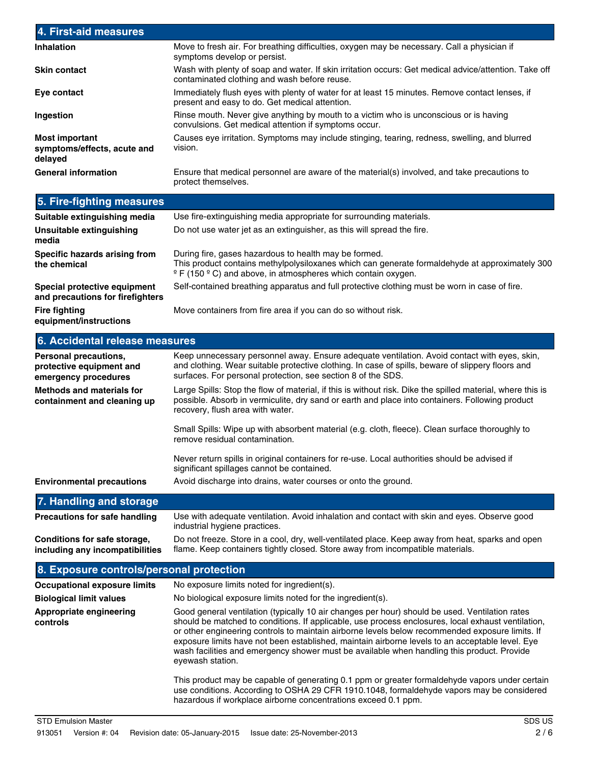| 4. First-aid measures                                                     |                                                                                                                                                                                                                                                                                                                                                                                                                                                                                                          |
|---------------------------------------------------------------------------|----------------------------------------------------------------------------------------------------------------------------------------------------------------------------------------------------------------------------------------------------------------------------------------------------------------------------------------------------------------------------------------------------------------------------------------------------------------------------------------------------------|
| <b>Inhalation</b>                                                         | Move to fresh air. For breathing difficulties, oxygen may be necessary. Call a physician if<br>symptoms develop or persist.                                                                                                                                                                                                                                                                                                                                                                              |
| <b>Skin contact</b>                                                       | Wash with plenty of soap and water. If skin irritation occurs: Get medical advice/attention. Take off<br>contaminated clothing and wash before reuse.                                                                                                                                                                                                                                                                                                                                                    |
| Eye contact                                                               | Immediately flush eyes with plenty of water for at least 15 minutes. Remove contact lenses, if<br>present and easy to do. Get medical attention.                                                                                                                                                                                                                                                                                                                                                         |
| Ingestion                                                                 | Rinse mouth. Never give anything by mouth to a victim who is unconscious or is having<br>convulsions. Get medical attention if symptoms occur.                                                                                                                                                                                                                                                                                                                                                           |
| <b>Most important</b><br>symptoms/effects, acute and<br>delayed           | Causes eye irritation. Symptoms may include stinging, tearing, redness, swelling, and blurred<br>vision.                                                                                                                                                                                                                                                                                                                                                                                                 |
| <b>General information</b>                                                | Ensure that medical personnel are aware of the material(s) involved, and take precautions to<br>protect themselves.                                                                                                                                                                                                                                                                                                                                                                                      |
| 5. Fire-fighting measures                                                 |                                                                                                                                                                                                                                                                                                                                                                                                                                                                                                          |
| Suitable extinguishing media                                              | Use fire-extinguishing media appropriate for surrounding materials.                                                                                                                                                                                                                                                                                                                                                                                                                                      |
| <b>Unsuitable extinguishing</b><br>media                                  | Do not use water jet as an extinguisher, as this will spread the fire.                                                                                                                                                                                                                                                                                                                                                                                                                                   |
| Specific hazards arising from<br>the chemical                             | During fire, gases hazardous to health may be formed.<br>This product contains methylpolysiloxanes which can generate formaldehyde at approximately 300<br>$\degree$ F (150 $\degree$ C) and above, in atmospheres which contain oxygen.                                                                                                                                                                                                                                                                 |
| Special protective equipment<br>and precautions for firefighters          | Self-contained breathing apparatus and full protective clothing must be worn in case of fire.                                                                                                                                                                                                                                                                                                                                                                                                            |
| <b>Fire fighting</b><br>equipment/instructions                            | Move containers from fire area if you can do so without risk.                                                                                                                                                                                                                                                                                                                                                                                                                                            |
| 6. Accidental release measures                                            |                                                                                                                                                                                                                                                                                                                                                                                                                                                                                                          |
| Personal precautions,<br>protective equipment and<br>emergency procedures | Keep unnecessary personnel away. Ensure adequate ventilation. Avoid contact with eyes, skin,<br>and clothing. Wear suitable protective clothing. In case of spills, beware of slippery floors and<br>surfaces. For personal protection, see section 8 of the SDS.                                                                                                                                                                                                                                        |
| <b>Methods and materials for</b><br>containment and cleaning up           | Large Spills: Stop the flow of material, if this is without risk. Dike the spilled material, where this is<br>possible. Absorb in vermiculite, dry sand or earth and place into containers. Following product<br>recovery, flush area with water.                                                                                                                                                                                                                                                        |
|                                                                           | Small Spills: Wipe up with absorbent material (e.g. cloth, fleece). Clean surface thoroughly to<br>remove residual contamination.                                                                                                                                                                                                                                                                                                                                                                        |
|                                                                           | Never return spills in original containers for re-use. Local authorities should be advised if<br>significant spillages cannot be contained.                                                                                                                                                                                                                                                                                                                                                              |
| <b>Environmental precautions</b>                                          | Avoid discharge into drains, water courses or onto the ground.                                                                                                                                                                                                                                                                                                                                                                                                                                           |
| 7. Handling and storage                                                   |                                                                                                                                                                                                                                                                                                                                                                                                                                                                                                          |
| <b>Precautions for safe handling</b>                                      | Use with adequate ventilation. Avoid inhalation and contact with skin and eyes. Observe good<br>industrial hygiene practices.                                                                                                                                                                                                                                                                                                                                                                            |
| Conditions for safe storage,<br>including any incompatibilities           | Do not freeze. Store in a cool, dry, well-ventilated place. Keep away from heat, sparks and open<br>flame. Keep containers tightly closed. Store away from incompatible materials.                                                                                                                                                                                                                                                                                                                       |
| 8. Exposure controls/personal protection                                  |                                                                                                                                                                                                                                                                                                                                                                                                                                                                                                          |
| <b>Occupational exposure limits</b>                                       | No exposure limits noted for ingredient(s).                                                                                                                                                                                                                                                                                                                                                                                                                                                              |
| <b>Biological limit values</b>                                            | No biological exposure limits noted for the ingredient(s).                                                                                                                                                                                                                                                                                                                                                                                                                                               |
| Appropriate engineering<br>controls                                       | Good general ventilation (typically 10 air changes per hour) should be used. Ventilation rates<br>should be matched to conditions. If applicable, use process enclosures, local exhaust ventilation,<br>or other engineering controls to maintain airborne levels below recommended exposure limits. If<br>exposure limits have not been established, maintain airborne levels to an acceptable level. Eye<br>wash facilities and emergency shower must be available when handling this product. Provide |

This product may be capable of generating 0.1 ppm or greater formaldehyde vapors under certain use conditions. According to OSHA 29 CFR 1910.1048, formaldehyde vapors may be considered hazardous if workplace airborne concentrations exceed 0.1 ppm.

eyewash station.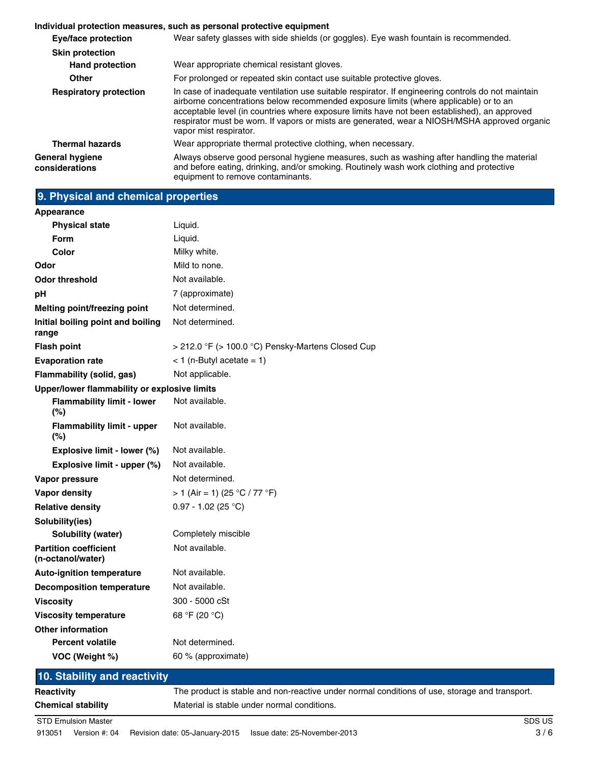|                                   | Individual protection measures, such as personal protective equipment                                                                                                                                                                                                                                                                                                                                                  |
|-----------------------------------|------------------------------------------------------------------------------------------------------------------------------------------------------------------------------------------------------------------------------------------------------------------------------------------------------------------------------------------------------------------------------------------------------------------------|
| <b>Eye/face protection</b>        | Wear safety glasses with side shields (or goggles). Eye wash fountain is recommended.                                                                                                                                                                                                                                                                                                                                  |
| <b>Skin protection</b>            |                                                                                                                                                                                                                                                                                                                                                                                                                        |
| <b>Hand protection</b>            | Wear appropriate chemical resistant gloves.                                                                                                                                                                                                                                                                                                                                                                            |
| <b>Other</b>                      | For prolonged or repeated skin contact use suitable protective gloves.                                                                                                                                                                                                                                                                                                                                                 |
| <b>Respiratory protection</b>     | In case of inadequate ventilation use suitable respirator. If engineering controls do not maintain<br>airborne concentrations below recommended exposure limits (where applicable) or to an<br>acceptable level (in countries where exposure limits have not been established), an approved<br>respirator must be worn. If vapors or mists are generated, wear a NIOSH/MSHA approved organic<br>vapor mist respirator. |
| <b>Thermal hazards</b>            | Wear appropriate thermal protective clothing, when necessary.                                                                                                                                                                                                                                                                                                                                                          |
| General hygiene<br>considerations | Always observe good personal hygiene measures, such as washing after handling the material<br>and before eating, drinking, and/or smoking. Routinely wash work clothing and protective<br>equipment to remove contaminants.                                                                                                                                                                                            |

## **9. Physical and chemical properties**

| Appearance                                        |                                                        |
|---------------------------------------------------|--------------------------------------------------------|
| <b>Physical state</b>                             | Liquid.                                                |
| <b>Form</b>                                       | Liquid.                                                |
| Color                                             | Milky white.                                           |
| Odor                                              | Mild to none.                                          |
| <b>Odor threshold</b>                             | Not available.                                         |
| pH                                                | 7 (approximate)                                        |
| Melting point/freezing point                      | Not determined.                                        |
| Initial boiling point and boiling<br>range        | Not determined.                                        |
| <b>Flash point</b>                                | $>$ 212.0 °F ( $>$ 100.0 °C) Pensky-Martens Closed Cup |
| <b>Evaporation rate</b>                           | $<$ 1 (n-Butyl acetate = 1)                            |
| <b>Flammability (solid, gas)</b>                  | Not applicable.                                        |
| Upper/lower flammability or explosive limits      |                                                        |
| <b>Flammability limit - lower</b><br>(%)          | Not available.                                         |
| <b>Flammability limit - upper</b><br>(%)          | Not available.                                         |
| Explosive limit - lower (%)                       | Not available.                                         |
| Explosive limit - upper (%)                       | Not available.                                         |
| Vapor pressure                                    | Not determined.                                        |
| <b>Vapor density</b>                              | > 1 (Air = 1) (25 °C / 77 °F)                          |
| <b>Relative density</b>                           | $0.97 - 1.02$ (25 °C)                                  |
| Solubility(ies)                                   |                                                        |
| <b>Solubility (water)</b>                         | Completely miscible                                    |
| <b>Partition coefficient</b><br>(n-octanol/water) | Not available.                                         |
| <b>Auto-ignition temperature</b>                  | Not available.                                         |
| <b>Decomposition temperature</b>                  | Not available.                                         |
| <b>Viscosity</b>                                  | 300 - 5000 cSt                                         |
| <b>Viscosity temperature</b>                      | 68 °F (20 °C)                                          |
| <b>Other information</b>                          |                                                        |
| <b>Percent volatile</b>                           | Not determined.                                        |
| VOC (Weight %)                                    | 60 % (approximate)                                     |
| 10. Stability and reactivity                      |                                                        |

## **10. Stability and reactivity Reactivity** The product is stable and non-reactive under normal conditions of use, storage and transport. **Chemical stability** Material is stable under normal conditions. **STD Emulsion Master** SDS US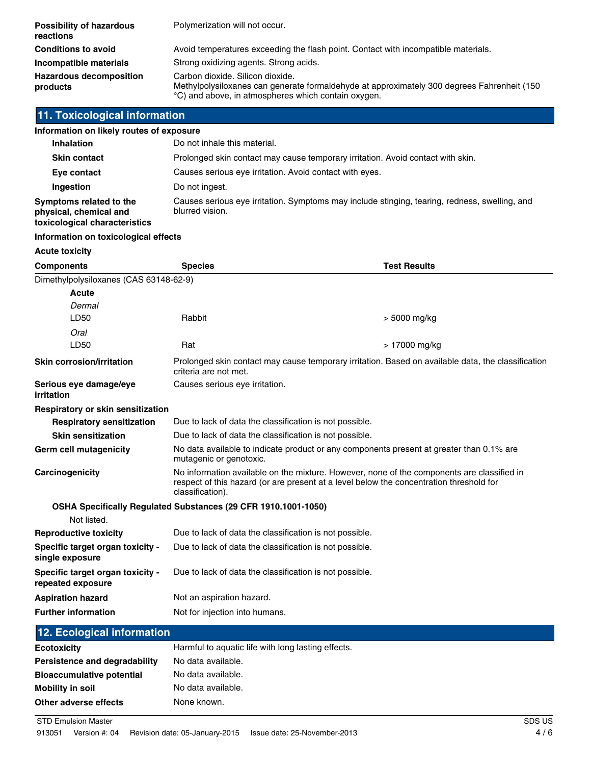| <b>Possibility of hazardous</b><br>reactions | Polymerization will not occur.                                                                                                                                                        |
|----------------------------------------------|---------------------------------------------------------------------------------------------------------------------------------------------------------------------------------------|
| <b>Conditions to avoid</b>                   | Avoid temperatures exceeding the flash point. Contact with incompatible materials.                                                                                                    |
| Incompatible materials                       | Strong oxidizing agents. Strong acids.                                                                                                                                                |
| <b>Hazardous decomposition</b><br>products   | Carbon dioxide, Silicon dioxide,<br>Methylpolysiloxanes can generate formaldehyde at approximately 300 degrees Fahrenheit (150<br>°C) and above, in atmospheres which contain oxygen. |

## **11. Toxicological information**

| Information on likely routes of exposure                                           |                                                                                                                  |
|------------------------------------------------------------------------------------|------------------------------------------------------------------------------------------------------------------|
| <b>Inhalation</b>                                                                  | Do not inhale this material.                                                                                     |
| <b>Skin contact</b>                                                                | Prolonged skin contact may cause temporary irritation. Avoid contact with skin.                                  |
| Eye contact                                                                        | Causes serious eye irritation. Avoid contact with eyes.                                                          |
| Ingestion                                                                          | Do not ingest.                                                                                                   |
| Symptoms related to the<br>physical, chemical and<br>toxicological characteristics | Causes serious eye irritation. Symptoms may include stinging, tearing, redness, swelling, and<br>blurred vision. |

### **Information on toxicological effects**

**Acute toxicity**

| <b>Components</b>                                     | <b>Species</b>                                                                                                                                                                                            | <b>Test Results</b> |
|-------------------------------------------------------|-----------------------------------------------------------------------------------------------------------------------------------------------------------------------------------------------------------|---------------------|
| Dimethylpolysiloxanes (CAS 63148-62-9)                |                                                                                                                                                                                                           |                     |
| <b>Acute</b>                                          |                                                                                                                                                                                                           |                     |
| Dermal                                                |                                                                                                                                                                                                           |                     |
| LD50                                                  | Rabbit                                                                                                                                                                                                    | $> 5000$ mg/kg      |
| Oral                                                  |                                                                                                                                                                                                           |                     |
| LD50                                                  | Rat                                                                                                                                                                                                       | > 17000 mg/kg       |
| <b>Skin corrosion/irritation</b>                      | Prolonged skin contact may cause temporary irritation. Based on available data, the classification<br>criteria are not met.                                                                               |                     |
| Serious eye damage/eye<br>irritation                  | Causes serious eye irritation.                                                                                                                                                                            |                     |
| Respiratory or skin sensitization                     |                                                                                                                                                                                                           |                     |
| <b>Respiratory sensitization</b>                      | Due to lack of data the classification is not possible.                                                                                                                                                   |                     |
| <b>Skin sensitization</b>                             | Due to lack of data the classification is not possible.                                                                                                                                                   |                     |
| Germ cell mutagenicity                                | No data available to indicate product or any components present at greater than 0.1% are<br>mutagenic or genotoxic.                                                                                       |                     |
| Carcinogenicity                                       | No information available on the mixture. However, none of the components are classified in<br>respect of this hazard (or are present at a level below the concentration threshold for<br>classification). |                     |
|                                                       | <b>OSHA Specifically Regulated Substances (29 CFR 1910.1001-1050)</b>                                                                                                                                     |                     |
| Not listed.                                           |                                                                                                                                                                                                           |                     |
| <b>Reproductive toxicity</b>                          | Due to lack of data the classification is not possible.                                                                                                                                                   |                     |
| Specific target organ toxicity -<br>single exposure   | Due to lack of data the classification is not possible.                                                                                                                                                   |                     |
| Specific target organ toxicity -<br>repeated exposure | Due to lack of data the classification is not possible.                                                                                                                                                   |                     |
| <b>Aspiration hazard</b>                              | Not an aspiration hazard.                                                                                                                                                                                 |                     |
| <b>Further information</b>                            | Not for injection into humans.                                                                                                                                                                            |                     |
|                                                       |                                                                                                                                                                                                           |                     |

## **12. Ecological information**

| Ecotoxicity                      | Harmful to aquatic life with long lasting effects. |
|----------------------------------|----------------------------------------------------|
| Persistence and degradability    | No data available.                                 |
| <b>Bioaccumulative potential</b> | No data available.                                 |
| Mobility in soil                 | No data available.                                 |
| Other adverse effects            | None known.                                        |
|                                  |                                                    |

**STD Emulsion Master** SDS US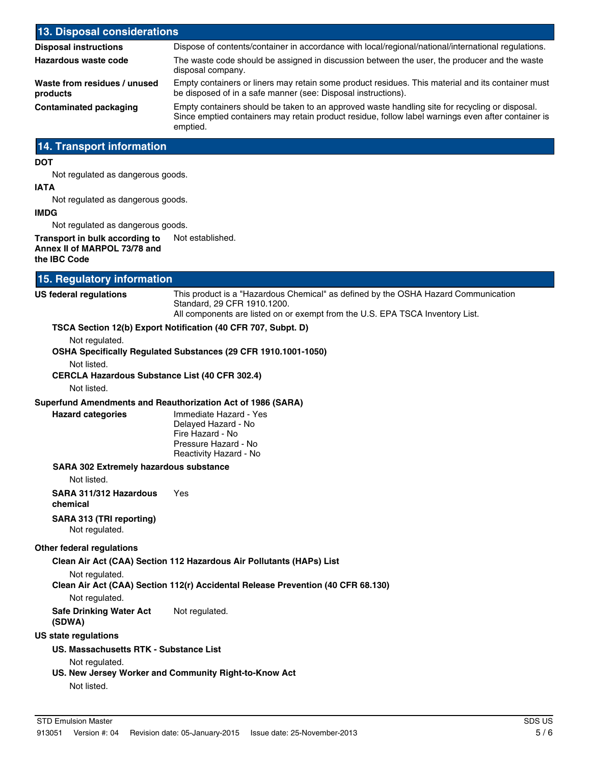| 13. Disposal considerations                                                                           |                                                                                                                                                                                                                  |
|-------------------------------------------------------------------------------------------------------|------------------------------------------------------------------------------------------------------------------------------------------------------------------------------------------------------------------|
| <b>Disposal instructions</b>                                                                          | Dispose of contents/container in accordance with local/regional/national/international regulations.                                                                                                              |
| Hazardous waste code                                                                                  | The waste code should be assigned in discussion between the user, the producer and the waste<br>disposal company.                                                                                                |
| Waste from residues / unused<br>products                                                              | Empty containers or liners may retain some product residues. This material and its container must<br>be disposed of in a safe manner (see: Disposal instructions).                                               |
| <b>Contaminated packaging</b>                                                                         | Empty containers should be taken to an approved waste handling site for recycling or disposal.<br>Since emptied containers may retain product residue, follow label warnings even after container is<br>emptied. |
| <b>14. Transport information</b>                                                                      |                                                                                                                                                                                                                  |
| DOT                                                                                                   |                                                                                                                                                                                                                  |
| Not regulated as dangerous goods.<br>IATA                                                             |                                                                                                                                                                                                                  |
| Not regulated as dangerous goods.                                                                     |                                                                                                                                                                                                                  |
| IMDG                                                                                                  |                                                                                                                                                                                                                  |
| Not regulated as dangerous goods.                                                                     |                                                                                                                                                                                                                  |
| Transport in bulk according to<br>Annex II of MARPOL 73/78 and<br>the IBC Code                        | Not established.                                                                                                                                                                                                 |
| 15. Regulatory information                                                                            |                                                                                                                                                                                                                  |
| US federal regulations                                                                                | This product is a "Hazardous Chemical" as defined by the OSHA Hazard Communication                                                                                                                               |
|                                                                                                       | Standard, 29 CFR 1910.1200.<br>All components are listed on or exempt from the U.S. EPA TSCA Inventory List.                                                                                                     |
| Not regulated.<br>Not listed.<br><b>CERCLA Hazardous Substance List (40 CFR 302.4)</b><br>Not listed. | TSCA Section 12(b) Export Notification (40 CFR 707, Subpt. D)<br>OSHA Specifically Regulated Substances (29 CFR 1910.1001-1050)                                                                                  |
|                                                                                                       | Superfund Amendments and Reauthorization Act of 1986 (SARA)                                                                                                                                                      |
| <b>Hazard categories</b>                                                                              | Immediate Hazard - Yes<br>Delayed Hazard - No<br>Fire Hazard - No<br>Pressure Hazard - No<br>Reactivity Hazard - No                                                                                              |
| <b>SARA 302 Extremely hazardous substance</b>                                                         |                                                                                                                                                                                                                  |
| Not listed.                                                                                           |                                                                                                                                                                                                                  |
| SARA 311/312 Hazardous<br>chemical                                                                    | Yes                                                                                                                                                                                                              |
| SARA 313 (TRI reporting)<br>Not regulated.                                                            |                                                                                                                                                                                                                  |
| Other federal regulations                                                                             |                                                                                                                                                                                                                  |
|                                                                                                       | Clean Air Act (CAA) Section 112 Hazardous Air Pollutants (HAPs) List                                                                                                                                             |
| Not regulated.<br>Not regulated.                                                                      | Clean Air Act (CAA) Section 112(r) Accidental Release Prevention (40 CFR 68.130)                                                                                                                                 |
| <b>Safe Drinking Water Act</b><br>(SDWA)                                                              | Not regulated.                                                                                                                                                                                                   |
| US state regulations                                                                                  |                                                                                                                                                                                                                  |
| US. Massachusetts RTK - Substance List                                                                |                                                                                                                                                                                                                  |
| Not regulated.<br>Not listed.                                                                         | US. New Jersey Worker and Community Right-to-Know Act                                                                                                                                                            |
|                                                                                                       |                                                                                                                                                                                                                  |